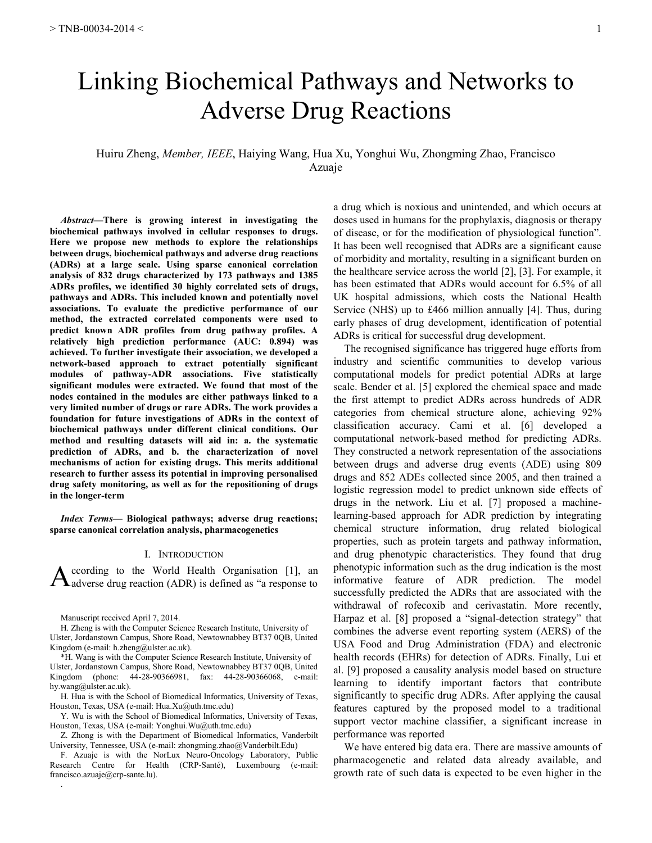# Linking Biochemical Pathways and Networks to Adverse Drug Reactions

## Huiru Zheng, *Member, IEEE*, Haiying Wang, Hua Xu, Yonghui Wu, Zhongming Zhao, Francisco Azuaje

*Abstract***—There is growing interest in investigating the biochemical pathways involved in cellular responses to drugs. Here we propose new methods to explore the relationships between drugs, biochemical pathways and adverse drug reactions (ADRs) at a large scale. Using sparse canonical correlation analysis of 832 drugs characterized by 173 pathways and 1385 ADRs profiles, we identified 30 highly correlated sets of drugs, pathways and ADRs. This included known and potentially novel associations. To evaluate the predictive performance of our method, the extracted correlated components were used to predict known ADR profiles from drug pathway profiles. A relatively high prediction performance (AUC: 0.894) was achieved. To further investigate their association, we developed a network-based approach to extract potentially significant modules of pathway-ADR associations. Five statistically significant modules were extracted. We found that most of the nodes contained in the modules are either pathways linked to a very limited number of drugs or rare ADRs. The work provides a foundation for future investigations of ADRs in the context of biochemical pathways under different clinical conditions. Our method and resulting datasets will aid in: a. the systematic prediction of ADRs, and b. the characterization of novel mechanisms of action for existing drugs. This merits additional research to further assess its potential in improving personalised drug safety monitoring, as well as for the repositioning of drugs in the longer-term**

*Index Terms***— Biological pathways; adverse drug reactions; sparse canonical correlation analysis, pharmacogenetics**

## I. INTRODUCTION

ccording to the World Health Organisation [1], an  $\mathbf A$  ccording to the World Health Organisation [1], an adverse drug reaction (ADR) is defined as "a response to

Manuscript received April 7, 2014.

H. Zheng is with the Computer Science Research Institute, University of Ulster, Jordanstown Campus, Shore Road, Newtownabbey BT37 0QB, United Kingdom (e-mail: h.zheng@ulster.ac.uk).

\*H. Wang is with the Computer Science Research Institute, University of Ulster, Jordanstown Campus, Shore Road, Newtownabbey BT37 0QB, United Kingdom (phone: 44-28-90366981, fax: 44-28-90366068, e-mail: hy.wang@ulster.ac.uk).

H. Hua is with the School of Biomedical Informatics, University of Texas, Houston, Texas, USA (e-mail: Hua.Xu@uth.tmc.edu)

Y. Wu is with the School of Biomedical Informatics, University of Texas, Houston, Texas, USA (e-mail: Yonghui.Wu@uth.tmc.edu)

Z. Zhong is with the Department of Biomedical Informatics, Vanderbilt University, Tennessee, USA (e-mail: zhongming.zhao@Vanderbilt.Edu)

F. Azuaje is with the NorLux Neuro-Oncology Laboratory, Public Research Centre for Health (CRP-Santé), Luxembourg (e-mail: francisco.azuaje@crp-sante.lu). .

a drug which is noxious and unintended, and which occurs at doses used in humans for the prophylaxis, diagnosis or therapy of disease, or for the modification of physiological function". It has been well recognised that ADRs are a significant cause of morbidity and mortality, resulting in a significant burden on the healthcare service across the world [2], [3]. For example, it has been estimated that ADRs would account for 6.5% of all UK hospital admissions, which costs the National Health Service (NHS) up to £466 million annually [4]. Thus, during early phases of drug development, identification of potential ADRs is critical for successful drug development.

The recognised significance has triggered huge efforts from industry and scientific communities to develop various computational models for predict potential ADRs at large scale. Bender et al. [5] explored the chemical space and made the first attempt to predict ADRs across hundreds of ADR categories from chemical structure alone, achieving 92% classification accuracy. Cami et al. [6] developed a computational network-based method for predicting ADRs. They constructed a network representation of the associations between drugs and adverse drug events (ADE) using 809 drugs and 852 ADEs collected since 2005, and then trained a logistic regression model to predict unknown side effects of drugs in the network. Liu et al. [7] proposed a machinelearning-based approach for ADR prediction by integrating chemical structure information, drug related biological properties, such as protein targets and pathway information, and drug phenotypic characteristics. They found that drug phenotypic information such as the drug indication is the most informative feature of ADR prediction. The model successfully predicted the ADRs that are associated with the withdrawal of rofecoxib and cerivastatin. More recently, Harpaz et al. [8] proposed a "signal-detection strategy" that combines the adverse event reporting system (AERS) of the USA Food and Drug Administration (FDA) and electronic health records (EHRs) for detection of ADRs. Finally, Lui et al. [9] proposed a causality analysis model based on structure learning to identify important factors that contribute significantly to specific drug ADRs. After applying the causal features captured by the proposed model to a traditional support vector machine classifier, a significant increase in performance was reported

We have entered big data era. There are massive amounts of pharmacogenetic and related data already available, and growth rate of such data is expected to be even higher in the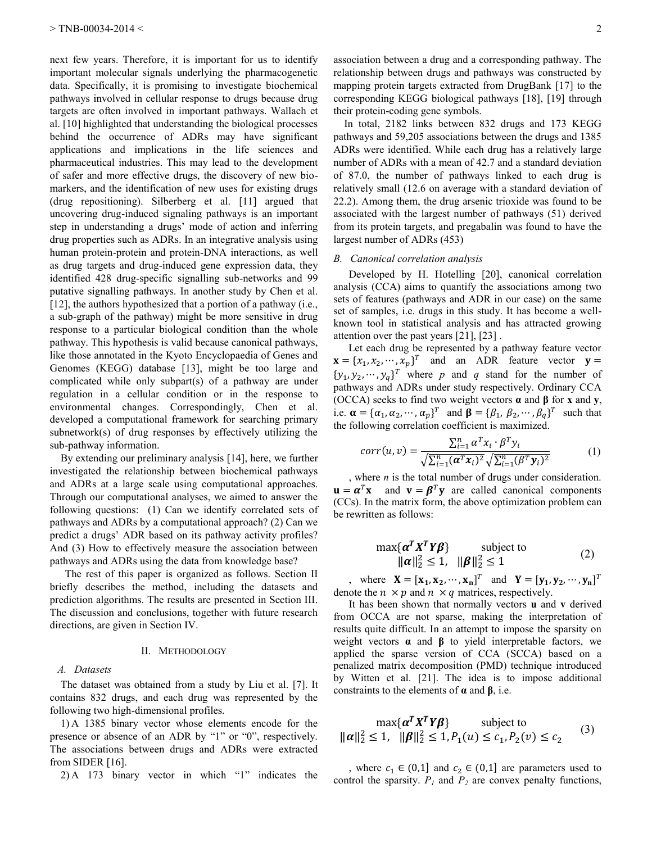next few years. Therefore, it is important for us to identify important molecular signals underlying the pharmacogenetic data. Specifically, it is promising to investigate biochemical pathways involved in cellular response to drugs because drug targets are often involved in important pathways. Wallach et al. [10] highlighted that understanding the biological processes behind the occurrence of ADRs may have significant applications and implications in the life sciences and pharmaceutical industries. This may lead to the development of safer and more effective drugs, the discovery of new biomarkers, and the identification of new uses for existing drugs (drug repositioning). Silberberg et al. [11] argued that uncovering drug-induced signaling pathways is an important step in understanding a drugs' mode of action and inferring drug properties such as ADRs. In an integrative analysis using human protein-protein and protein-DNA interactions, as well as drug targets and drug-induced gene expression data, they identified 428 drug-specific signalling sub-networks and 99 putative signalling pathways. In another study by Chen et al. [12], the authors hypothesized that a portion of a pathway (i.e., a sub-graph of the pathway) might be more sensitive in drug response to a particular biological condition than the whole pathway. This hypothesis is valid because canonical pathways, like those annotated in the Kyoto Encyclopaedia of Genes and Genomes (KEGG) database [13], might be too large and complicated while only subpart(s) of a pathway are under regulation in a cellular condition or in the response to environmental changes. Correspondingly, Chen et al. developed a computational framework for searching primary subnetwork(s) of drug responses by effectively utilizing the sub-pathway information.

By extending our preliminary analysis [14], here, we further investigated the relationship between biochemical pathways and ADRs at a large scale using computational approaches. Through our computational analyses, we aimed to answer the following questions: (1) Can we identify correlated sets of pathways and ADRs by a computational approach? (2) Can we predict a drugs' ADR based on its pathway activity profiles? And (3) How to effectively measure the association between pathways and ADRs using the data from knowledge base?

The rest of this paper is organized as follows. Section II briefly describes the method, including the datasets and prediction algorithms. The results are presented in Section III. The discussion and conclusions, together with future research directions, are given in Section IV.

#### II. METHODOLOGY

### *A. Datasets*

The dataset was obtained from a study by Liu et al. [7]. It contains 832 drugs, and each drug was represented by the following two high-dimensional profiles.

1) A 1385 binary vector whose elements encode for the presence or absence of an ADR by "1" or "0", respectively. The associations between drugs and ADRs were extracted from SIDER [16].

2) A 173 binary vector in which "1" indicates the

association between a drug and a corresponding pathway. The relationship between drugs and pathways was constructed by mapping protein targets extracted from DrugBank [17] to the corresponding KEGG biological pathways [18], [19] through their protein-coding gene symbols.

In total, 2182 links between 832 drugs and 173 KEGG pathways and 59,205 associations between the drugs and 1385 ADRs were identified. While each drug has a relatively large number of ADRs with a mean of 42.7 and a standard deviation of 87.0, the number of pathways linked to each drug is relatively small (12.6 on average with a standard deviation of 22.2). Among them, the drug arsenic trioxide was found to be associated with the largest number of pathways (51) derived from its protein targets, and pregabalin was found to have the largest number of ADRs (453)

## *B. Canonical correlation analysis*

Developed by H. Hotelling [20], canonical correlation analysis (CCA) aims to quantify the associations among two sets of features (pathways and ADR in our case) on the same set of samples, i.e. drugs in this study. It has become a wellknown tool in statistical analysis and has attracted growing attention over the past years [21], [23] .

Let each drug be represented by a pathway feature vector  $\mathbf{x} = \{x_1, x_2, \cdots, x_n\}^T$  and an ADR feature vector  $\{y_1, y_2, \dots, y_n\}^T$  where p and q stand for the number of pathways and ADRs under study respectively. Ordinary CCA (OCCA) seeks to find two weight vectors **α** and **β** for **x** and **y**, i.e.  $\boldsymbol{\alpha} = {\alpha_1, \alpha_2, \cdots, \alpha_n}^T$  and  $\boldsymbol{\beta} = {\beta_1, \beta_2, \cdots, \beta_n}^T$  such that the following correlation coefficient is maximized.

$$
corr(u,v) = \frac{\sum_{i=1}^{n} \alpha^{T} x_i \cdot \beta^{T} y_i}{\sqrt{\sum_{i=1}^{n} (\boldsymbol{\alpha}^{T} x_i)^2} \sqrt{\sum_{i=1}^{n} (\beta^{T} y_i)^2}}
$$
(1)

, where *n* is the total number of drugs under consideration.  $\mathbf{u} = \boldsymbol{\alpha}^T \mathbf{x}$  and  $\mathbf{v} = \boldsymbol{\beta}^T \mathbf{y}$  are called canonical components (CCs). In the matrix form, the above optimization problem can be rewritten as follows:

$$
\max{\{\alpha^T X^T Y \beta\}} \qquad \text{subject to} \qquad (2)
$$
  

$$
\|\alpha\|_2^2 \le 1, \quad \|\beta\|_2^2 \le 1
$$

where  $\mathbf{X} = [\mathbf{x}_1, \mathbf{x}_2, \cdots, \mathbf{x}_n]^T$  and  $\mathbf{Y} = [\mathbf{y}_1, \mathbf{y}_2, \cdots, \mathbf{y}_n]^T$ denote the  $n \times p$  and  $n \times q$  matrices, respectively.

It has been shown that normally vectors **u** and **v** derived from OCCA are not sparse, making the interpretation of results quite difficult. In an attempt to impose the sparsity on weight vectors **α** and **β** to yield interpretable factors, we applied the sparse version of CCA (SCCA) based on a penalized matrix decomposition (PMD) technique introduced by Witten et al. [21]. The idea is to impose additional constraints to the elements of **α** and **β**, i.e.

$$
\max{\{\alpha^T X^T Y \beta\}} \text{subject to}
$$
  

$$
\|\alpha\|_2^2 \le 1, \ \|\beta\|_2^2 \le 1, P_1(u) \le c_1, P_2(v) \le c_2 \tag{3}
$$

, where  $c_1 \in (0,1]$  and  $c_2 \in (0,1]$  are parameters used to control the sparsity.  $P_I$  and  $P_2$  are convex penalty functions,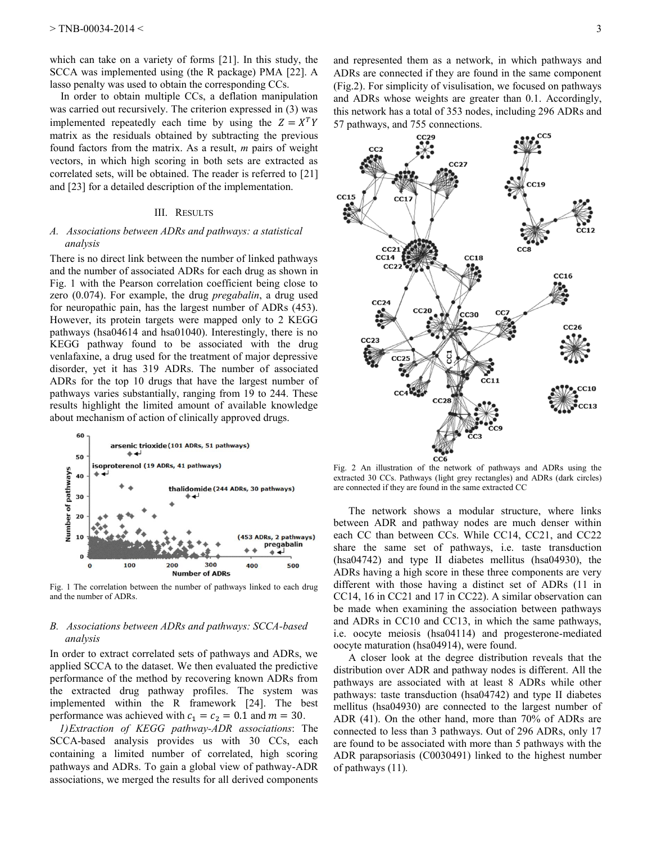which can take on a variety of forms [21]. In this study, the SCCA was implemented using (the R package) PMA [22]. A lasso penalty was used to obtain the corresponding CCs.

In order to obtain multiple CCs, a deflation manipulation was carried out recursively. The criterion expressed in (3) was implemented repeatedly each time by using the  $Z = X^T$ matrix as the residuals obtained by subtracting the previous found factors from the matrix. As a result, *m* pairs of weight vectors, in which high scoring in both sets are extracted as correlated sets, will be obtained. The reader is referred to [21] and [23] for a detailed description of the implementation.

## III. RESULTS

## *A. Associations between ADRs and pathways: a statistical analysis*

There is no direct link between the number of linked pathways and the number of associated ADRs for each drug as shown in Fig. 1 with the Pearson correlation coefficient being close to zero (0.074). For example, the drug *pregabalin*, a drug used for neuropathic pain, has the largest number of ADRs (453). However, its protein targets were mapped only to 2 KEGG pathways (hsa04614 and hsa01040). Interestingly, there is no KEGG pathway found to be associated with the drug venlafaxine, a drug used for the treatment of major depressive disorder, yet it has 319 ADRs. The number of associated ADRs for the top 10 drugs that have the largest number of pathways varies substantially, ranging from 19 to 244. These results highlight the limited amount of available knowledge about mechanism of action of clinically approved drugs.



Fig. 1 The correlation between the number of pathways linked to each drug and the number of ADRs.

## *B. Associations between ADRs and pathways: SCCA-based analysis*

In order to extract correlated sets of pathways and ADRs, we applied SCCA to the dataset. We then evaluated the predictive performance of the method by recovering known ADRs from the extracted drug pathway profiles. The system was implemented within the R framework [24]. The best performance was achieved with  $c_1 = c_2 = 0.1$  and  $m = 30$ .

*1)Extraction of KEGG pathway-ADR associations*: The SCCA-based analysis provides us with 30 CCs, each containing a limited number of correlated, high scoring pathways and ADRs. To gain a global view of pathway-ADR associations, we merged the results for all derived components and represented them as a network, in which pathways and ADRs are connected if they are found in the same component (Fig.2). For simplicity of visulisation, we focused on pathways and ADRs whose weights are greater than 0.1. Accordingly, this network has a total of 353 nodes, including 296 ADRs and 57 pathways, and 755 connections.



Fig. 2 An illustration of the network of pathways and ADRs using the extracted 30 CCs. Pathways (light grey rectangles) and ADRs (dark circles) are connected if they are found in the same extracted CC

The network shows a modular structure, where links between ADR and pathway nodes are much denser within each CC than between CCs. While CC14, CC21, and CC22 share the same set of pathways, i.e. taste transduction (hsa04742) and type II diabetes mellitus (hsa04930), the ADRs having a high score in these three components are very different with those having a distinct set of ADRs (11 in CC14, 16 in CC21 and 17 in CC22). A similar observation can be made when examining the association between pathways and ADRs in CC10 and CC13, in which the same pathways, i.e. oocyte meiosis (hsa04114) and progesterone-mediated oocyte maturation (hsa04914), were found.

A closer look at the degree distribution reveals that the distribution over ADR and pathway nodes is different. All the pathways are associated with at least 8 ADRs while other pathways: taste transduction (hsa04742) and type II diabetes mellitus (hsa04930) are connected to the largest number of ADR (41). On the other hand, more than 70% of ADRs are connected to less than 3 pathways. Out of 296 ADRs, only 17 are found to be associated with more than 5 pathways with the ADR parapsoriasis (C0030491) linked to the highest number of pathways (11)*.*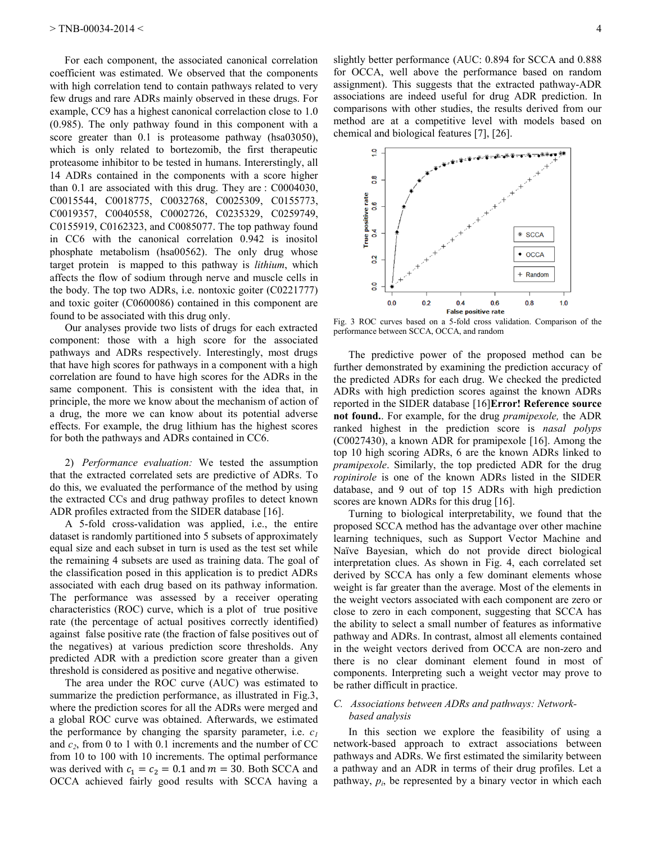For each component, the associated canonical correlation coefficient was estimated. We observed that the components with high correlation tend to contain pathways related to very few drugs and rare ADRs mainly observed in these drugs. For example, CC9 has a highest canonical correlaction close to 1.0 (0.985). The only pathway found in this component with a score greater than 0.1 is proteasome pathway (hsa03050), which is only related to bortezomib, the first therapeutic proteasome inhibitor to be tested in humans. Intererstingly, all 14 ADRs contained in the components with a score higher than 0.1 are associated with this drug. They are : C0004030, C0015544, C0018775, C0032768, C0025309, C0155773, C0019357, C0040558, C0002726, C0235329, C0259749, C0155919, C0162323, and C0085077. The top pathway found in CC6 with the canonical correlation 0.942 is inositol phosphate metabolism (hsa00562). The only drug whose target protein is mapped to this pathway is *lithium*, which affects the flow of sodium through nerve and muscle cells in the body. The top two ADRs, i.e. nontoxic goiter (C0221777) and toxic goiter (C0600086) contained in this component are found to be associated with this drug only.

Our analyses provide two lists of drugs for each extracted component: those with a high score for the associated pathways and ADRs respectively. Interestingly, most drugs that have high scores for pathways in a component with a high correlation are found to have high scores for the ADRs in the same component. This is consistent with the idea that, in principle, the more we know about the mechanism of action of a drug, the more we can know about its potential adverse effects. For example, the drug lithium has the highest scores for both the pathways and ADRs contained in CC6.

2) *Performance evaluation:* We tested the assumption that the extracted correlated sets are predictive of ADRs. To do this, we evaluated the performance of the method by using the extracted CCs and drug pathway profiles to detect known ADR profiles extracted from the SIDER database [16].

A 5-fold cross-validation was applied, i.e., the entire dataset is randomly partitioned into 5 subsets of approximately equal size and each subset in turn is used as the test set while the remaining 4 subsets are used as training data. The goal of the classification posed in this application is to predict ADRs associated with each drug based on its pathway information. The performance was assessed by a receiver operating characteristics (ROC) curve, which is a plot of true positive rate (the percentage of actual positives correctly identified) against false positive rate (the fraction of false positives out of the negatives) at various prediction score thresholds. Any predicted ADR with a prediction score greater than a given threshold is considered as positive and negative otherwise.

The area under the ROC curve (AUC) was estimated to summarize the prediction performance, as illustrated in Fig.3, where the prediction scores for all the ADRs were merged and a global ROC curve was obtained. Afterwards, we estimated the performance by changing the sparsity parameter, i.e. *c<sup>1</sup>* and  $c_2$ , from 0 to 1 with 0.1 increments and the number of CC from 10 to 100 with 10 increments. The optimal performance was derived with  $c_1 = c_2 = 0.1$  and  $m = 30$ . Both SCCA and OCCA achieved fairly good results with SCCA having a



Fig. 3 ROC curves based on a 5-fold cross validation. Comparison of the performance between SCCA, OCCA, and random

The predictive power of the proposed method can be further demonstrated by examining the prediction accuracy of the predicted ADRs for each drug. We checked the predicted ADRs with high prediction scores against the known ADRs reported in the SIDER database [16]**Error! Reference source not found.**. For example, for the drug *pramipexole,* the ADR ranked highest in the prediction score is *nasal polyps* (C0027430), a known ADR for pramipexole [16]. Among the top 10 high scoring ADRs, 6 are the known ADRs linked to *pramipexole*. Similarly, the top predicted ADR for the drug *ropinirole* is one of the known ADRs listed in the SIDER database, and 9 out of top 15 ADRs with high prediction scores are known ADRs for this drug [16].

Turning to biological interpretability, we found that the proposed SCCA method has the advantage over other machine learning techniques, such as Support Vector Machine and Naïve Bayesian, which do not provide direct biological interpretation clues. As shown in Fig. 4, each correlated set derived by SCCA has only a few dominant elements whose weight is far greater than the average. Most of the elements in the weight vectors associated with each component are zero or close to zero in each component, suggesting that SCCA has the ability to select a small number of features as informative pathway and ADRs. In contrast, almost all elements contained in the weight vectors derived from OCCA are non-zero and there is no clear dominant element found in most of components. Interpreting such a weight vector may prove to be rather difficult in practice.

# *C. Associations between ADRs and pathways: Networkbased analysis*

In this section we explore the feasibility of using a network-based approach to extract associations between pathways and ADRs. We first estimated the similarity between a pathway and an ADR in terms of their drug profiles. Let a pathway,  $p_i$ , be represented by a binary vector in which each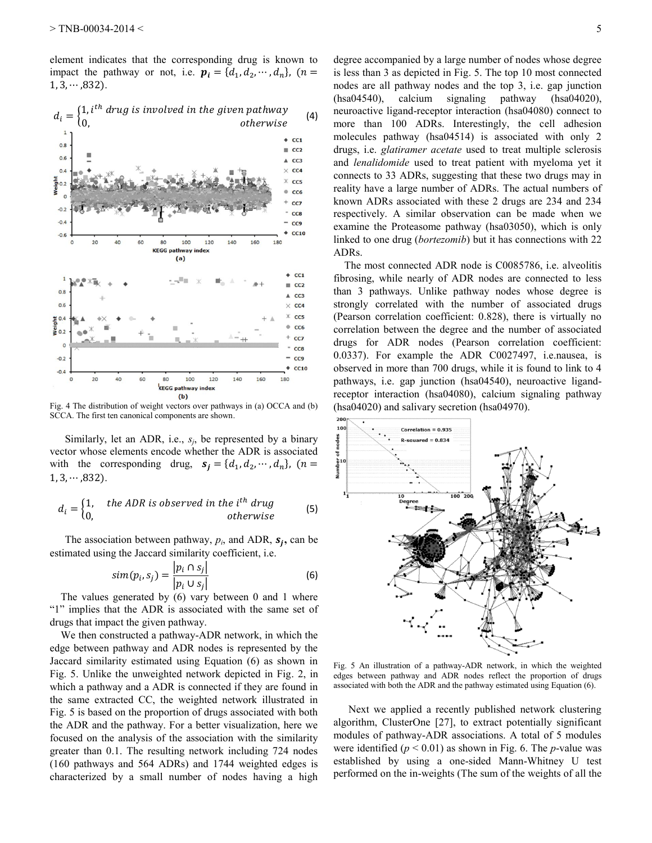element indicates that the corresponding drug is known to impact the pathway or not, i.e.  $p_i = \{d_1, d_2, \dots, d_n\}$ , (*n*  $1, 3, \cdots, 832$ ).



Fig. 4 The distribution of weight vectors over pathways in (a) OCCA and (b) SCCA. The first ten canonical components are shown.

Similarly, let an ADR, i.e., *s<sup>j</sup>* , be represented by a binary vector whose elements encode whether the ADR is associated with the corresponding drug,  $s_i = \{d_1, d_2, \dots, d_n\}$ ,  $(n$  $1, 3, \cdots, 832$ ).

$$
d_i = \begin{cases} 1, & the ADR is observed in the ith drug \\ 0, & otherwise \end{cases}
$$
 (5)

The association between pathway,  $p_i$ , and ADR,  $s_i$ , can be estimated using the Jaccard similarity coefficient, i.e.

$$
sim(p_i, s_j) = \frac{|p_i \cap s_j|}{|p_i \cup s_j|} \tag{6}
$$

The values generated by (6) vary between 0 and 1 where "1" implies that the ADR is associated with the same set of drugs that impact the given pathway.

We then constructed a pathway-ADR network, in which the edge between pathway and ADR nodes is represented by the Jaccard similarity estimated using Equation (6) as shown in Fig. 5. Unlike the unweighted network depicted in Fig. 2, in which a pathway and a ADR is connected if they are found in the same extracted CC, the weighted network illustrated in Fig. 5 is based on the proportion of drugs associated with both the ADR and the pathway. For a better visualization, here we focused on the analysis of the association with the similarity greater than 0.1. The resulting network including 724 nodes (160 pathways and 564 ADRs) and 1744 weighted edges is characterized by a small number of nodes having a high

degree accompanied by a large number of nodes whose degree is less than 3 as depicted in Fig. 5. The top 10 most connected nodes are all pathway nodes and the top 3, i.e. gap junction (hsa04540), calcium signaling pathway (hsa04020), neuroactive ligand-receptor interaction (hsa04080) connect to more than 100 ADRs. Interestingly, the cell adhesion molecules pathway (hsa04514) is associated with only 2 drugs, i.e. *glatiramer acetate* used to treat multiple sclerosis and *lenalidomide* used to treat patient with myeloma yet it connects to 33 ADRs, suggesting that these two drugs may in reality have a large number of ADRs. The actual numbers of known ADRs associated with these 2 drugs are 234 and 234 respectively. A similar observation can be made when we examine the Proteasome pathway (hsa03050), which is only linked to one drug (*bortezomib*) but it has connections with 22 ADRs.

The most connected ADR node is C0085786, i.e. alveolitis fibrosing, while nearly of ADR nodes are connected to less than 3 pathways. Unlike pathway nodes whose degree is strongly correlated with the number of associated drugs (Pearson correlation coefficient: 0.828), there is virtually no correlation between the degree and the number of associated drugs for ADR nodes (Pearson correlation coefficient: 0.0337). For example the ADR C0027497, i.e.nausea, is observed in more than 700 drugs, while it is found to link to 4 pathways, i.e. gap junction (hsa04540), neuroactive ligandreceptor interaction (hsa04080), calcium signaling pathway (hsa04020) and salivary secretion (hsa04970).



Fig. 5 An illustration of a pathway-ADR network, in which the weighted edges between pathway and ADR nodes reflect the proportion of drugs associated with both the ADR and the pathway estimated using Equation (6).

Next we applied a recently published network clustering algorithm, ClusterOne [27], to extract potentially significant modules of pathway-ADR associations. A total of 5 modules were identified  $(p < 0.01)$  as shown in Fig. 6. The *p*-value was established by using a one-sided Mann-Whitney U test performed on the in-weights (The sum of the weights of all the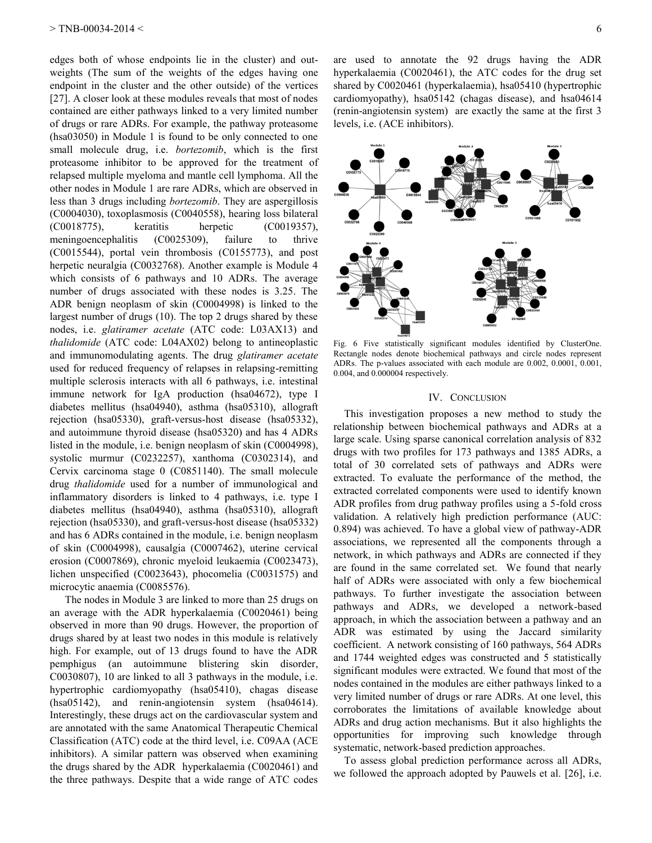edges both of whose endpoints lie in the cluster) and outweights (The sum of the weights of the edges having one endpoint in the cluster and the other outside) of the vertices [27]. A closer look at these modules reveals that most of nodes contained are either pathways linked to a very limited number of drugs or rare ADRs. For example, the pathway proteasome (hsa03050) in Module 1 is found to be only connected to one small molecule drug, i.e. *bortezomib*, which is the first proteasome inhibitor to be approved for the treatment of relapsed multiple myeloma and mantle cell lymphoma. All the other nodes in Module 1 are rare ADRs, which are observed in less than 3 drugs including *bortezomib*. They are aspergillosis (C0004030), toxoplasmosis (C0040558), hearing loss bilateral (C0018775), keratitis herpetic (C0019357), meningoencephalitis (C0025309), failure to thrive (C0015544), portal vein thrombosis (C0155773), and post herpetic neuralgia (C0032768). Another example is Module 4 which consists of 6 pathways and 10 ADRs. The average number of drugs associated with these nodes is 3.25. The ADR benign neoplasm of skin (C0004998) is linked to the largest number of drugs (10). The top 2 drugs shared by these nodes, i.e. *glatiramer acetate* (ATC code: L03AX13) and *thalidomide* (ATC code: L04AX02) belong to antineoplastic and immunomodulating agents. The drug *glatiramer acetate* used for reduced frequency of relapses in relapsing-remitting multiple sclerosis interacts with all 6 pathways, i.e. intestinal immune network for IgA production (hsa04672), type I diabetes mellitus (hsa04940), asthma (hsa05310), allograft rejection (hsa05330), graft-versus-host disease (hsa05332), and autoimmune thyroid disease (hsa05320) and has 4 ADRs listed in the module, i.e. benign neoplasm of skin (C0004998), systolic murmur (C0232257), xanthoma (C0302314), and Cervix carcinoma stage 0 (C0851140). The small molecule drug *thalidomide* used for a number of immunological and inflammatory disorders is linked to 4 pathways, i.e. type I diabetes mellitus (hsa04940), asthma (hsa05310), allograft rejection (hsa05330), and graft-versus-host disease (hsa05332) and has 6 ADRs contained in the module, i.e. benign neoplasm of skin (C0004998), causalgia (C0007462), uterine cervical erosion (C0007869), chronic myeloid leukaemia (C0023473), lichen unspecified (C0023643), phocomelia (C0031575) and microcytic anaemia (C0085576).

The nodes in Module 3 are linked to more than 25 drugs on an average with the ADR hyperkalaemia (C0020461) being observed in more than 90 drugs. However, the proportion of drugs shared by at least two nodes in this module is relatively high. For example, out of 13 drugs found to have the ADR pemphigus (an autoimmune blistering skin disorder, C0030807), 10 are linked to all 3 pathways in the module, i.e. hypertrophic cardiomyopathy (hsa05410), chagas disease (hsa05142), and renin-angiotensin system (hsa04614). Interestingly, these drugs act on the cardiovascular system and are annotated with the same Anatomical Therapeutic Chemical Classification (ATC) code at the third level, i.e. C09AA (ACE inhibitors). A similar pattern was observed when examining the drugs shared by the ADR hyperkalaemia (C0020461) and the three pathways. Despite that a wide range of ATC codes

are used to annotate the 92 drugs having the ADR hyperkalaemia (C0020461), the ATC codes for the drug set shared by C0020461 (hyperkalaemia), hsa05410 (hypertrophic cardiomyopathy), hsa05142 (chagas disease), and hsa04614 (renin-angiotensin system) are exactly the same at the first 3 levels, i.e. (ACE inhibitors).



Fig. 6 Five statistically significant modules identified by ClusterOne. Rectangle nodes denote biochemical pathways and circle nodes represent ADRs. The p-values associated with each module are 0.002, 0.0001, 0.001, 0.004, and 0.000004 respectively.

## IV. CONCLUSION

This investigation proposes a new method to study the relationship between biochemical pathways and ADRs at a large scale. Using sparse canonical correlation analysis of 832 drugs with two profiles for 173 pathways and 1385 ADRs, a total of 30 correlated sets of pathways and ADRs were extracted. To evaluate the performance of the method, the extracted correlated components were used to identify known ADR profiles from drug pathway profiles using a 5-fold cross validation. A relatively high prediction performance (AUC: 0.894) was achieved. To have a global view of pathway-ADR associations, we represented all the components through a network, in which pathways and ADRs are connected if they are found in the same correlated set. We found that nearly half of ADRs were associated with only a few biochemical pathways. To further investigate the association between pathways and ADRs, we developed a network-based approach, in which the association between a pathway and an ADR was estimated by using the Jaccard similarity coefficient. A network consisting of 160 pathways, 564 ADRs and 1744 weighted edges was constructed and 5 statistically significant modules were extracted. We found that most of the nodes contained in the modules are either pathways linked to a very limited number of drugs or rare ADRs. At one level, this corroborates the limitations of available knowledge about ADRs and drug action mechanisms. But it also highlights the opportunities for improving such knowledge through systematic, network-based prediction approaches.

To assess global prediction performance across all ADRs, we followed the approach adopted by Pauwels et al. [26], i.e.